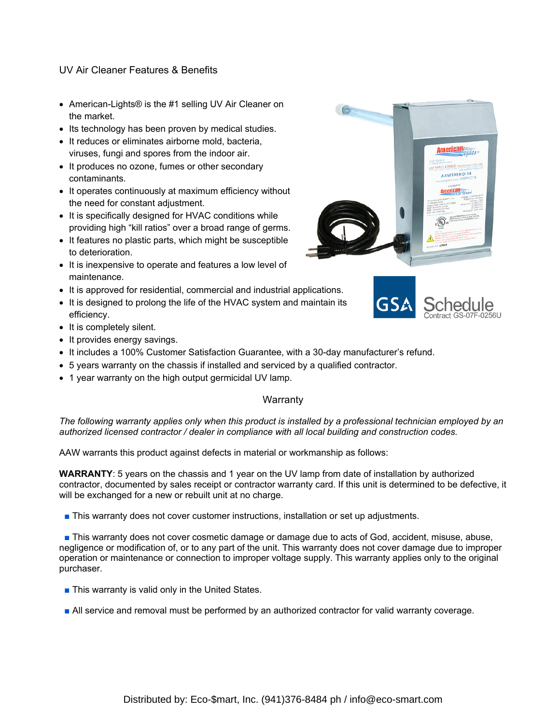# UV Air Cleaner Features & Benefits

- American-Lights® is the #1 selling UV Air Cleaner on the market.
- Its technology has been proven by medical studies.
- It reduces or eliminates airborne mold, bacteria, viruses, fungi and spores from the indoor air.
- It produces no ozone, fumes or other secondary contaminants.
- It operates continuously at maximum efficiency without the need for constant adjustment.
- It is specifically designed for HVAC conditions while providing high "kill ratios" over a broad range of germs.
- It features no plastic parts, which might be susceptible to deterioration.
- It is inexpensive to operate and features a low level of maintenance.
- It is approved for residential, commercial and industrial applications.
- It is designed to prolong the life of the HVAC system and maintain its efficiency.
- It is completely silent.
- It provides energy savings.
- It includes a 100% Customer Satisfaction Guarantee, with a 30-day manufacturer's refund.
- 5 years warranty on the chassis if installed and serviced by a qualified contractor.
- 1 year warranty on the high output germicidal UV lamp.

# **Warranty**

*The following warranty applies only when this product is installed by a professional technician employed by an authorized licensed contractor / dealer in compliance with all local building and construction codes.* 

AAW warrants this product against defects in material or workmanship as follows:

**WARRANTY**: 5 years on the chassis and 1 year on the UV lamp from date of installation by authorized contractor, documented by sales receipt or contractor warranty card. If this unit is determined to be defective, it will be exchanged for a new or rebuilt unit at no charge.

■ This warranty does not cover customer instructions, installation or set up adjustments.

■ This warranty does not cover cosmetic damage or damage due to acts of God, accident, misuse, abuse, negligence or modification of, or to any part of the unit. This warranty does not cover damage due to improper operation or maintenance or connection to improper voltage supply. This warranty applies only to the original purchaser.

- This warranty is valid only in the United States.
- All service and removal must be performed by an authorized contractor for valid warranty coverage.



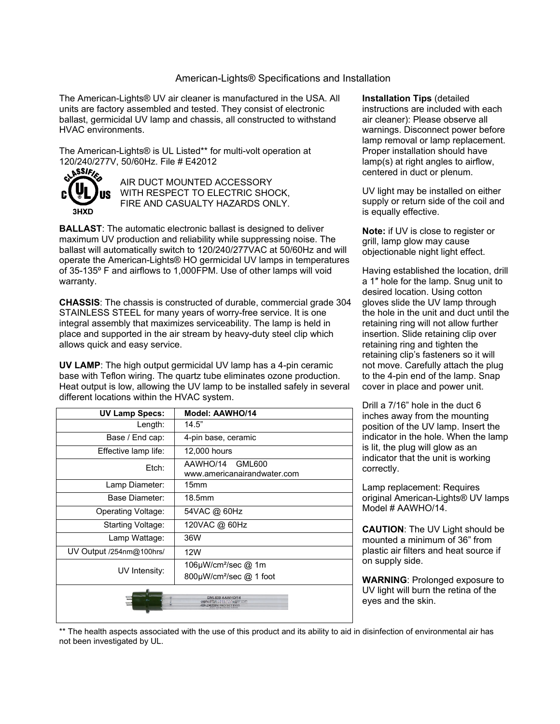### American-Lights® Specifications and Installation

The American-Lights® UV air cleaner is manufactured in the USA. All units are factory assembled and tested. They consist of electronic ballast, germicidal UV lamp and chassis, all constructed to withstand HVAC environments.

The American-Lights® is UL Listed\*\* for multi-volt operation at 120/240/277V, 50/60Hz. File # E42012<br>
State And The Company of the State of the State of the State of the State of the State of the State of the St



AIR DUCT MOUNTED ACCESSORY WITH RESPECT TO ELECTRIC SHOCK, FIRE AND CASUALTY HAZARDS ONLY.

**BALLAST:** The automatic electronic ballast is designed to deliver maximum UV production and reliability while suppressing noise. The ballast will automatically switch to 120/240/277VAC at 50/60Hz and will operate the American-Lights® HO germicidal UV lamps in temperatures of 35-135º F and airflows to 1,000FPM. Use of other lamps will void warranty.

**CHASSIS**: The chassis is constructed of durable, commercial grade 304 STAINLESS STEEL for many years of worry-free service. It is one integral assembly that maximizes serviceability. The lamp is held in place and supported in the air stream by heavy-duty steel clip which allows quick and easy service.

**UV LAMP**: The high output germicidal UV lamp has a 4-pin ceramic base with Teflon wiring. The quartz tube eliminates ozone production. Heat output is low, allowing the UV lamp to be installed safely in several different locations within the HVAC system.

| <b>UV Lamp Specs:</b>                                                           | Model: AAWHO/14                                   |
|---------------------------------------------------------------------------------|---------------------------------------------------|
| Length:                                                                         | 14.5"                                             |
| Base / End cap:                                                                 | 4-pin base, ceramic                               |
| Effective lamp life:                                                            | 12,000 hours                                      |
| Etch:                                                                           | AAWHO/14<br>GML600<br>www.americanairandwater.com |
| Lamp Diameter:                                                                  | 15 <sub>mm</sub>                                  |
| Base Diameter:                                                                  | 18.5 <sub>mm</sub>                                |
| Operating Voltage:                                                              | 54VAC @ 60Hz                                      |
| Starting Voltage:                                                               | 120VAC @ 60Hz                                     |
| Lamp Wattage:                                                                   | 36W                                               |
| UV Output /254nm@100hrs/                                                        | 12W                                               |
| UV Intensity:                                                                   | 106µW/cm <sup>2</sup> /sec @ 1m                   |
|                                                                                 | $800 \mu W/cm^2/sec$ @ 1 foot                     |
| GML600 AAWHO/14<br>www.attackensitur.fwater.com<br><b>ALITION: PROTECT EYES</b> |                                                   |

**Installation Tips** (detailed instructions are included with each air cleaner): Please observe all warnings. Disconnect power before lamp removal or lamp replacement. Proper installation should have lamp(s) at right angles to airflow, centered in duct or plenum.

UV light may be installed on either supply or return side of the coil and is equally effective.

**Note:** if UV is close to register or grill, lamp glow may cause objectionable night light effect.

Having established the location, drill a 1″ hole for the lamp. Snug unit to desired location. Using cotton gloves slide the UV lamp through the hole in the unit and duct until the retaining ring will not allow further insertion. Slide retaining clip over retaining ring and tighten the retaining clip's fasteners so it will not move. Carefully attach the plug to the 4-pin end of the lamp. Snap cover in place and power unit.

Drill a 7/16" hole in the duct 6 inches away from the mounting position of the UV lamp. Insert the indicator in the hole. When the lamp is lit, the plug will glow as an indicator that the unit is working correctly.

Lamp replacement: Requires original American-Lights® UV lamps Model # AAWHO/14.

**CAUTION**: The UV Light should be mounted a minimum of 36" from plastic air filters and heat source if on supply side.

**WARNING**: Prolonged exposure to UV light will burn the retina of the eyes and the skin.

\*\* The health aspects associated with the use of this product and its ability to aid in disinfection of environmental air has not been investigated by UL.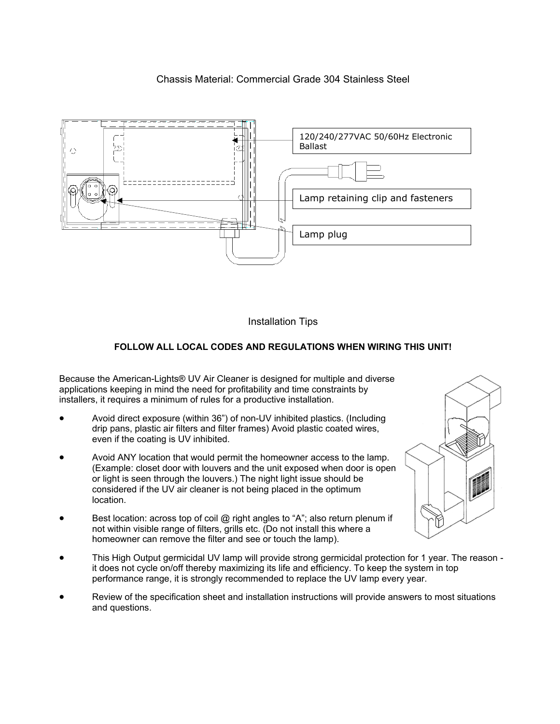# Chassis Material: Commercial Grade 304 Stainless Steel



Installation Tips

# **FOLLOW ALL LOCAL CODES AND REGULATIONS WHEN WIRING THIS UNIT!**

Because the American-Lights® UV Air Cleaner is designed for multiple and diverse applications keeping in mind the need for profitability and time constraints by installers, it requires a minimum of rules for a productive installation.

- Avoid direct exposure (within 36") of non-UV inhibited plastics. (Including drip pans, plastic air filters and filter frames) Avoid plastic coated wires, even if the coating is UV inhibited.
- Avoid ANY location that would permit the homeowner access to the lamp. (Example: closet door with louvers and the unit exposed when door is open or light is seen through the louvers.) The night light issue should be considered if the UV air cleaner is not being placed in the optimum location.
- Best location: across top of coil @ right angles to "A"; also return plenum if not within visible range of filters, grills etc. (Do not install this where a homeowner can remove the filter and see or touch the lamp).
- This High Output germicidal UV lamp will provide strong germicidal protection for 1 year. The reason it does not cycle on/off thereby maximizing its life and efficiency. To keep the system in top performance range, it is strongly recommended to replace the UV lamp every year.
- Review of the specification sheet and installation instructions will provide answers to most situations and questions.

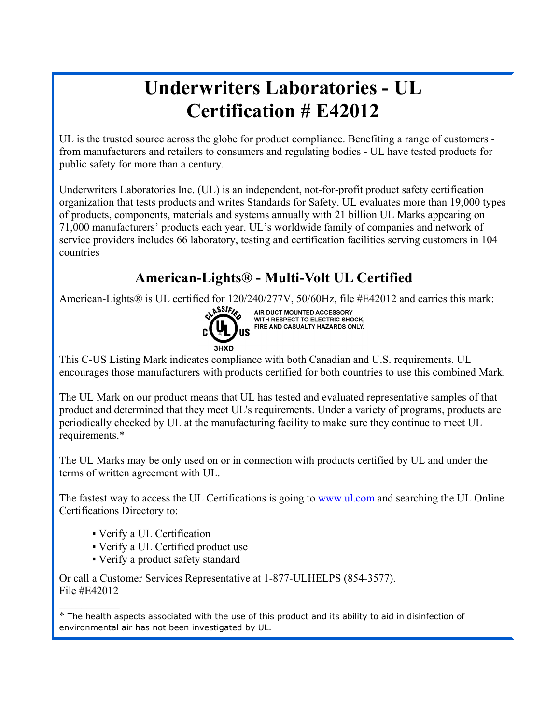# **Underwriters Laboratories - UL Certification # E42012**

UL is the trusted source across the globe for product compliance. Benefiting a range of customers from manufacturers and retailers to consumers and regulating bodies - UL have tested products for public safety for more than a century.

Underwriters Laboratories Inc. (UL) is an independent, not-for-profit product safety certification organization that tests products and writes Standards for Safety. UL evaluates more than 19,000 types of products, components, materials and systems annually with 21 billion UL Marks appearing on 71,000 manufacturers' products each year. UL's worldwide family of companies and network of service providers includes 66 laboratory, testing and certification facilities serving customers in 104 countries

# **American-Lights® - Multi-Volt UL Certified**

American-Lights® is UL certified for  $120/240/277V$ ,  $50/60Hz$ , file #E42012 and carries this mark:<br>
AIR DUCT MOUNTED ACCESSORY



AIR DUCT MOUNTED ACCESSORY WITH RESPECT TO ELECTRIC SHOCK. FIRE AND CASUALTY HAZARDS ONLY.

This C-US Listing Mark indicates compliance with both Canadian and U.S. requirements. UL encourages those manufacturers with products certified for both countries to use this combined Mark.

The UL Mark on our product means that UL has tested and evaluated representative samples of that product and determined that they meet UL's requirements. Under a variety of programs, products are periodically checked by UL at the manufacturing facility to make sure they continue to meet UL requirements.\*

The UL Marks may be only used on or in connection with products certified by UL and under the terms of written agreement with UL.

The fastest way to access the UL Certifications is going to www.ul.com and searching the UL Online Certifications Directory to:

▪ Verify a UL Certification

 $\mathcal{L}_\text{max}$ 

- Verify a UL Certified product use
- Verify a product safety standard

Or call a Customer Services Representative at 1-877-ULHELPS (854-3577). File #E42012

<sup>\*</sup> The health aspects associated with the use of this product and its ability to aid in disinfection of environmental air has not been investigated by UL.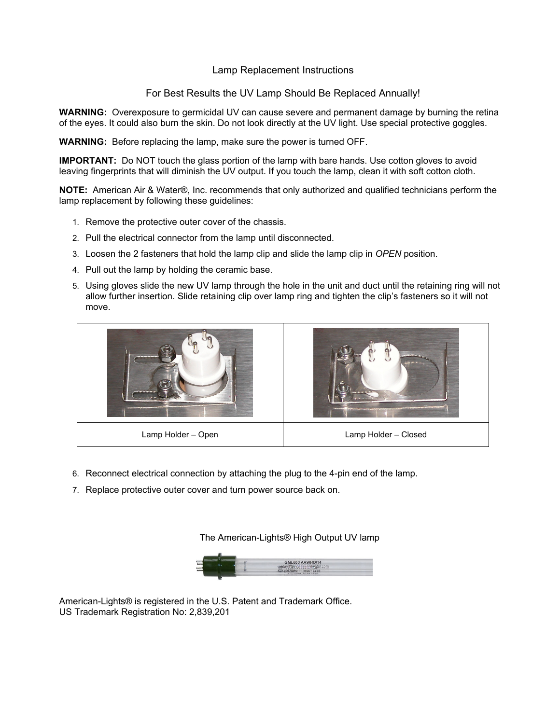### Lamp Replacement Instructions

For Best Results the UV Lamp Should Be Replaced Annually!

**WARNING:** Overexposure to germicidal UV can cause severe and permanent damage by burning the retina of the eyes. It could also burn the skin. Do not look directly at the UV light. Use special protective goggles.

**WARNING:** Before replacing the lamp, make sure the power is turned OFF.

**IMPORTANT:** Do NOT touch the glass portion of the lamp with bare hands. Use cotton gloves to avoid leaving fingerprints that will diminish the UV output. If you touch the lamp, clean it with soft cotton cloth.

**NOTE:** American Air & Water®, Inc. recommends that only authorized and qualified technicians perform the lamp replacement by following these guidelines:

- 1. Remove the protective outer cover of the chassis.
- 2. Pull the electrical connector from the lamp until disconnected.
- 3. Loosen the 2 fasteners that hold the lamp clip and slide the lamp clip in *OPEN* position.
- 4. Pull out the lamp by holding the ceramic base.
- 5. Using gloves slide the new UV lamp through the hole in the unit and duct until the retaining ring will not allow further insertion. Slide retaining clip over lamp ring and tighten the clip's fasteners so it will not move.



- 6. Reconnect electrical connection by attaching the plug to the 4-pin end of the lamp.
- 7. Replace protective outer cover and turn power source back on.

The American-Lights® High Output UV lamp



American-Lights® is registered in the U.S. Patent and Trademark Office. US Trademark Registration No: 2,839,201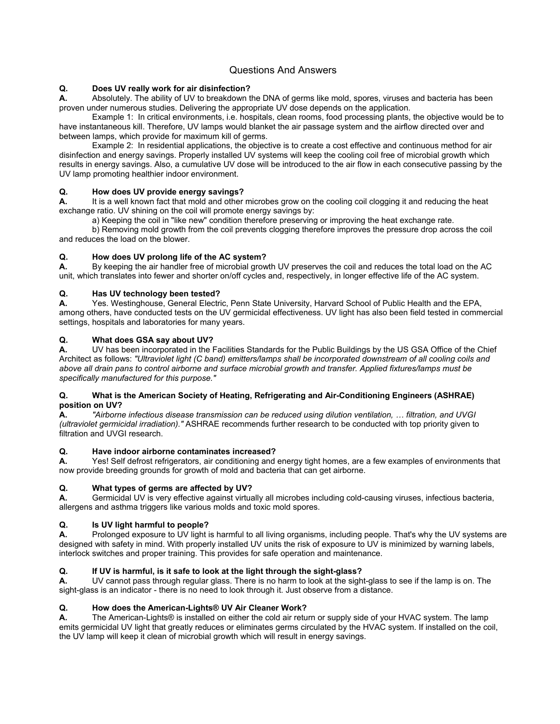# Questions And Answers

#### **Q. Does UV really work for air disinfection?**

**A.** Absolutely. The ability of UV to breakdown the DNA of germs like mold, spores, viruses and bacteria has been proven under numerous studies. Delivering the appropriate UV dose depends on the application.

 Example 1: In critical environments, i.e. hospitals, clean rooms, food processing plants, the objective would be to have instantaneous kill. Therefore, UV lamps would blanket the air passage system and the airflow directed over and between lamps, which provide for maximum kill of germs.

 Example 2: In residential applications, the objective is to create a cost effective and continuous method for air disinfection and energy savings. Properly installed UV systems will keep the cooling coil free of microbial growth which results in energy savings. Also, a cumulative UV dose will be introduced to the air flow in each consecutive passing by the UV lamp promoting healthier indoor environment.

#### **Q. How does UV provide energy savings?**

**A.** It is a well known fact that mold and other microbes grow on the cooling coil clogging it and reducing the heat exchange ratio. UV shining on the coil will promote energy savings by:

a) Keeping the coil in "like new" condition therefore preserving or improving the heat exchange rate.

 b) Removing mold growth from the coil prevents clogging therefore improves the pressure drop across the coil and reduces the load on the blower.

#### **Q. How does UV prolong life of the AC system?**

**A.** By keeping the air handler free of microbial growth UV preserves the coil and reduces the total load on the AC unit, which translates into fewer and shorter on/off cycles and, respectively, in longer effective life of the AC system.

#### **Q. Has UV technology been tested?**

**A.** Yes. Westinghouse, General Electric, Penn State University, Harvard School of Public Health and the EPA, among others, have conducted tests on the UV germicidal effectiveness. UV light has also been field tested in commercial settings, hospitals and laboratories for many years.

#### **Q. What does GSA say about UV?**

**A.** UV has been incorporated in the Facilities Standards for the Public Buildings by the US GSA Office of the Chief Architect as follows: *"Ultraviolet light (C band) emitters/lamps shall be incorporated downstream of all cooling coils and above all drain pans to control airborne and surface microbial growth and transfer. Applied fixtures/lamps must be specifically manufactured for this purpose."* 

#### **Q. What is the American Society of Heating, Refrigerating and Air-Conditioning Engineers (ASHRAE) position on UV?**

**A.** *"Airborne infectious disease transmission can be reduced using dilution ventilation, … filtration, and UVGI (ultraviolet germicidal irradiation)."* ASHRAE recommends further research to be conducted with top priority given to filtration and UVGI research.

#### **Q. Have indoor airborne contaminates increased?**

**A.** Yes! Self defrost refrigerators, air conditioning and energy tight homes, are a few examples of environments that now provide breeding grounds for growth of mold and bacteria that can get airborne.

#### **Q. What types of germs are affected by UV?**

**A.** Germicidal UV is very effective against virtually all microbes including cold-causing viruses, infectious bacteria, allergens and asthma triggers like various molds and toxic mold spores.

#### **Q. Is UV light harmful to people?**

**A.** Prolonged exposure to UV light is harmful to all living organisms, including people. That's why the UV systems are designed with safety in mind. With properly installed UV units the risk of exposure to UV is minimized by warning labels, interlock switches and proper training. This provides for safe operation and maintenance.

### **Q. If UV is harmful, is it safe to look at the light through the sight-glass?**

**A.** UV cannot pass through regular glass. There is no harm to look at the sight-glass to see if the lamp is on. The sight-glass is an indicator - there is no need to look through it. Just observe from a distance.

#### **Q. How does the American-Lights® UV Air Cleaner Work?**

**A.** The American-Lights® is installed on either the cold air return or supply side of your HVAC system. The lamp emits germicidal UV light that greatly reduces or eliminates germs circulated by the HVAC system. If installed on the coil, the UV lamp will keep it clean of microbial growth which will result in energy savings.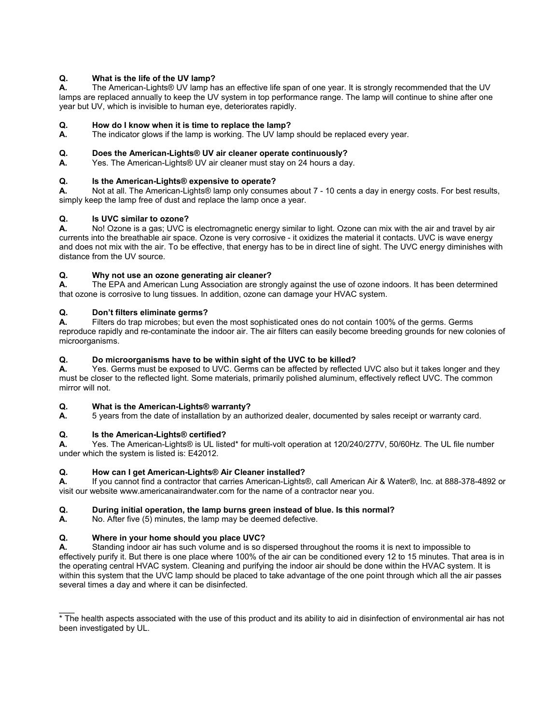#### **Q. What is the life of the UV lamp?**

**A.** The American-Lights® UV lamp has an effective life span of one year. It is strongly recommended that the UV lamps are replaced annually to keep the UV system in top performance range. The lamp will continue to shine after one year but UV, which is invisible to human eye, deteriorates rapidly.

# **Q. How do I know when it is time to replace the lamp?**<br>**A.** The indicator glows if the lamp is working. The UV lamp

The indicator glows if the lamp is working. The UV lamp should be replaced every year.

#### **Q. Does the American-Lights® UV air cleaner operate continuously?**

**A.** Yes. The American-Lights® UV air cleaner must stay on 24 hours a day.

#### **Q. Is the American-Lights® expensive to operate?**

**A.** Not at all. The American-Lights® lamp only consumes about 7 - 10 cents a day in energy costs. For best results, simply keep the lamp free of dust and replace the lamp once a year.

#### **Q. Is UVC similar to ozone?**

**A.** No! Ozone is a gas; UVC is electromagnetic energy similar to light. Ozone can mix with the air and travel by air currents into the breathable air space. Ozone is very corrosive - it oxidizes the material it contacts. UVC is wave energy and does not mix with the air. To be effective, that energy has to be in direct line of sight. The UVC energy diminishes with distance from the UV source.

#### **Q. Why not use an ozone generating air cleaner?**

**A.** The EPA and American Lung Association are strongly against the use of ozone indoors. It has been determined that ozone is corrosive to lung tissues. In addition, ozone can damage your HVAC system.

#### **Q. Don't filters eliminate germs?**

**A.** Filters do trap microbes; but even the most sophisticated ones do not contain 100% of the germs. Germs reproduce rapidly and re-contaminate the indoor air. The air filters can easily become breeding grounds for new colonies of microorganisms.

#### **Q. Do microorganisms have to be within sight of the UVC to be killed?**

**A.** Yes. Germs must be exposed to UVC. Germs can be affected by reflected UVC also but it takes longer and they must be closer to the reflected light. Some materials, primarily polished aluminum, effectively reflect UVC. The common mirror will not.

#### **Q. What is the American-Lights® warranty?**

**A.** 5 years from the date of installation by an authorized dealer, documented by sales receipt or warranty card.

#### **Q. Is the American-Lights® certified?**

**A.** Yes. The American-Lights® is UL listed\* for multi-volt operation at 120/240/277V, 50/60Hz. The UL file number under which the system is listed is: E42012.

#### **Q. How can I get American-Lights® Air Cleaner installed?**

**A.** If you cannot find a contractor that carries American-Lights®, call American Air & Water®, Inc. at 888-378-4892 or visit our website www.americanairandwater.com for the name of a contractor near you.

#### **Q. During initial operation, the lamp burns green instead of blue. Is this normal?**

**A.** No. After five (5) minutes, the lamp may be deemed defective.

#### **Q. Where in your home should you place UVC?**

 $\overline{\phantom{a}}$ 

**A.** Standing indoor air has such volume and is so dispersed throughout the rooms it is next to impossible to effectively purify it. But there is one place where 100% of the air can be conditioned every 12 to 15 minutes. That area is in the operating central HVAC system. Cleaning and purifying the indoor air should be done within the HVAC system. It is within this system that the UVC lamp should be placed to take advantage of the one point through which all the air passes several times a day and where it can be disinfected.

<sup>\*</sup> The health aspects associated with the use of this product and its ability to aid in disinfection of environmental air has not been investigated by UL.